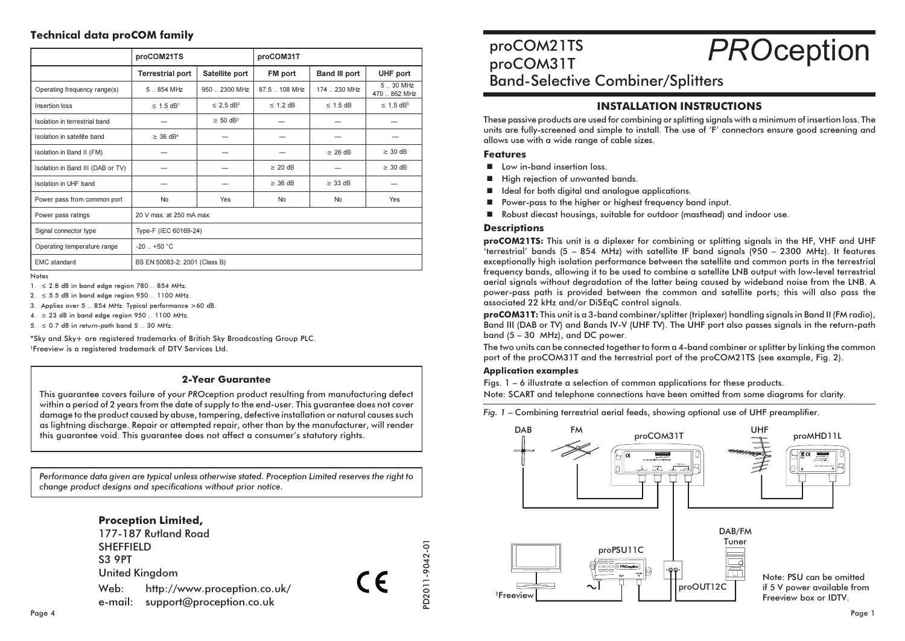# **Technical data proCOM family**

|                                   | proCOM21TS                    |                            | proCOM31T     |                      |                            |
|-----------------------------------|-------------------------------|----------------------------|---------------|----------------------|----------------------------|
|                                   | <b>Terrestrial port</b>       | Satellite port             | FM port       | <b>Band III port</b> | <b>UHF</b> port            |
| Operating frequency range(s)      | $5 \ldots 854$ MHz            | 950  2300 MHz              | 87.5  108 MHz | 174  230 MHz         | 530 MHz<br>470  862 MHz    |
| Insertion loss                    | $\leq$ 1.5 dB <sup>1</sup>    | $\leq$ 2.5 dB <sup>2</sup> | $\leq$ 1.2 dB | $\leq$ 1.5 dB        | $\leq$ 1.5 dB <sup>5</sup> |
| Isolation in terrestrial band     |                               | $\geq$ 50 dB <sup>3</sup>  |               |                      |                            |
| Isolation in satellite band       | $\geq$ 36 dB <sup>4</sup>     |                            |               |                      |                            |
| Isolation in Band II (FM)         |                               |                            |               | $\geq$ 26 dB         | $\geq$ 30 dB               |
| Isolation in Band III (DAB or TV) |                               |                            | $\geq$ 20 dB  |                      | $\geq$ 30 dB               |
| Isolation in UHF band             |                               |                            | $\geq$ 36 dB  | $\geq$ 33 dB         |                            |
| Power pass from common port       | <b>No</b>                     | Yes                        | <b>No</b>     | <b>No</b>            | Yes                        |
| Power pass ratings                | 20 V max. at 250 mA max.      |                            |               |                      |                            |
| Signal connector type             | Type-F (IEC 60169-24)         |                            |               |                      |                            |
| Operating temperature range       | $-20$ $+50$ °C                |                            |               |                      |                            |
| <b>EMC</b> standard               | BS EN 50083-2: 2001 (Class B) |                            |               |                      |                            |

Notes

 $1. \leq 2.8$  dB in band edge region 780 .. 854 MHz.

 $2. \leq 5.5$  dB in band edge region 950 .. 1100 MHz.

3. Applies over 5 .. 854 MHz. Typical performance >60 dB

 $4. \geq 23$  dB in band edge region 950 .. 1100 MHz.

 $5. \le 0.7$  dB in return-path band  $5.30$  MHz.

\*Sky and Sky+ are registered trademarks of British Sky Broadcasting Group PLC. <sup>†</sup>Freeview is a registered trademark of DTV Services Ltd.

## **2-Year Guarantee**

This quarantee covers failure of your PROception product resulting from manufacturing defect within a period of 2 years from the date of supply to the end-user. This guarantee does not cover damage to the product caused by abuse, tampering, defective installation or natural causes such as lightning discharge. Repair or attempted repair, other than by the manufacturer, will render this guarantee void. This guarantee does not affect a consumer's statutory rights.

Performance data given are typical unless otherwise stated. Proception Limited reserves the right to change product designs and specifications without prior notice.



**PROception** proCOM21TS proCOM31T **Band-Selective Combiner/Splitters** 

# **INSTALLATION INSTRUCTIONS**

These passive products are used for combining or splitting signals with a minimum of insertion loss. The units are fully-screened and simple to install. The use of 'F' connectors ensure good screening and allows use with a wide range of cable sizes.

### **Features**

- Low in-band insertion loss.
- High rejection of unwanted bands.
- I Ideal for both digital and analogue applications.
- Power-pass to the higher or highest frequency band input.
- Robust diecast housings, suitable for outdoor (masthead) and indoor use.

## **Descriptions**

proCOM21TS: This unit is a diplexer for combining or splitting signals in the HF, VHF and UHF 'terrestrial' bands (5 - 854 MHz) with satellite IF band signals (950 - 2300 MHz). It features exceptionally high isolation performance between the satellite and common ports in the terrestrial frequency bands, allowing it to be used to combine a satellite LNB output with low-level terrestrial aerial signals without degradation of the latter being caused by wideband noise from the LNB. A power-pass path is provided between the common and satellite ports; this will also pass the associated 22 kHz and/or DiSEqC control signals.

proCOM31T: This unit is a 3-band combiner/splitter (triplexer) handling signals in Band II (FM radio), Band III (DAB or TV) and Bands IV-V (UHF TV). The UHF port also passes signals in the return-path band (5 - 30 MHz), and DC power.

The two units can be connected together to form a 4-band combiner or splitter by linking the common port of the proCOM31T and the terrestrial port of the proCOM21TS (see example, Fig. 2).

# **Application examples**

D2011-9042-01

Figs. 1 - 6 illustrate a selection of common applications for these products.

Note: SCART and telephone connections have been omitted from some diagrams for clarity.

Fia. 1 - Combining terrestrial aerial feeds, showing optional use of UHF preamplifier.